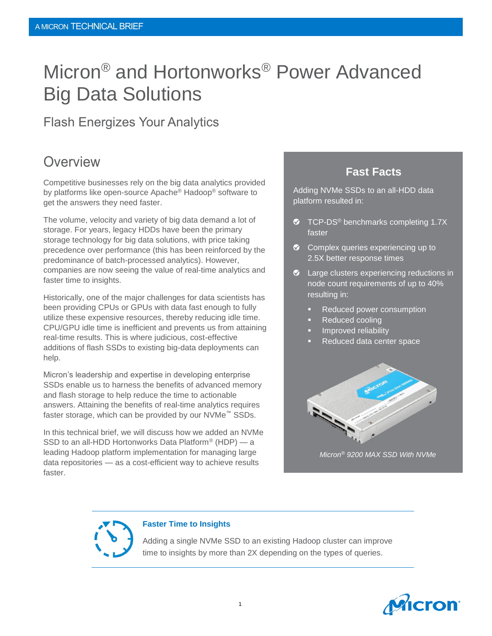# Micron® and Hortonworks® Power Advanced Big Data Solutions

#### Flash Energizes Your Analytics

### **Overview**

Competitive businesses rely on the big data analytics provided by platforms like open-source Apache® Hadoop® software to get the answers they need faster.

The volume, velocity and variety of big data demand a lot of storage. For years, legacy HDDs have been the primary storage technology for big data solutions, with price taking precedence over performance (this has been reinforced by the predominance of batch-processed analytics). However, companies are now seeing the value of real-time analytics and faster time to insights.

Historically, one of the major challenges for data scientists has been providing CPUs or GPUs with data fast enough to fully utilize these expensive resources, thereby reducing idle time. CPU/GPU idle time is inefficient and prevents us from attaining real-time results. This is where judicious, cost-effective additions of flash SSDs to existing big-data deployments can help.

Micron's leadership and expertise in developing enterprise SSDs enable us to harness the benefits of advanced memory and flash storage to help reduce the time to actionable answers. Attaining the benefits of real-time analytics requires faster storage, which can be provided by our NVMe™ SSDs.

In this technical brief, we will discuss how we added an NVMe SSD to an all-HDD Hortonworks Data Platform® (HDP) — a leading Hadoop platform implementation for managing large data repositories — as a cost-efficient way to achieve results faster.

#### **Fast Facts**

Adding NVMe SSDs to an all-HDD data platform resulted in:

- **TCP-DS®** benchmarks completing 1.7X faster
- Complex queries experiencing up to 2.5X better response times
- $\bullet$  Large clusters experiencing reductions in node count requirements of up to 40% resulting in:
	- Reduced power consumption
	- Reduced cooling
	- Improved reliability
	- Reduced data center space



*Micron® 9200 MAX SSD With NVMe*



#### **Faster Time to Insights**

Adding a single NVMe SSD to an existing Hadoop cluster can improve time to insights by more than 2X depending on the types of queries.

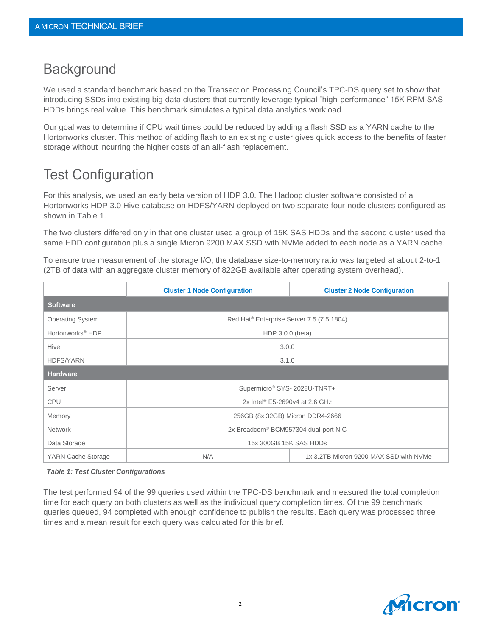# **Background**

We used a standard benchmark based on the Transaction Processing Council's TPC-DS query set to show that introducing SSDs into existing big data clusters that currently leverage typical "high-performance" 15K RPM SAS HDDs brings real value. This benchmark simulates a typical data analytics workload.

Our goal was to determine if CPU wait times could be reduced by adding a flash SSD as a YARN cache to the Hortonworks cluster. This method of adding flash to an existing cluster gives quick access to the benefits of faster storage without incurring the higher costs of an all-flash replacement.

# Test Configuration

For this analysis, we used an early beta version of HDP 3.0. The Hadoop cluster software consisted of a Hortonworks HDP 3.0 Hive database on HDFS/YARN deployed on two separate four-node clusters configured as shown in Table 1.

The two clusters differed only in that one cluster used a group of 15K SAS HDDs and the second cluster used the same HDD configuration plus a single Micron 9200 MAX SSD with NVMe added to each node as a YARN cache.

To ensure true measurement of the storage I/O, the database size-to-memory ratio was targeted at about 2-to-1 (2TB of data with an aggregate cluster memory of 822GB available after operating system overhead).

|                              | <b>Cluster 1 Node Configuration</b>                   | <b>Cluster 2 Node Configuration</b>    |
|------------------------------|-------------------------------------------------------|----------------------------------------|
| <b>Software</b>              |                                                       |                                        |
| <b>Operating System</b>      | Red Hat <sup>®</sup> Enterprise Server 7.5 (7.5.1804) |                                        |
| Hortonworks <sup>®</sup> HDP | HDP 3.0.0 (beta)                                      |                                        |
| Hive                         | 3.0.0                                                 |                                        |
| <b>HDFS/YARN</b>             | 3.1.0                                                 |                                        |
| <b>Hardware</b>              |                                                       |                                        |
| Server                       | Supermicro® SYS-2028U-TNRT+                           |                                        |
| <b>CPU</b>                   | 2x Intel <sup>®</sup> E5-2690v4 at 2.6 GHz            |                                        |
| Memory                       | 256GB (8x 32GB) Micron DDR4-2666                      |                                        |
| <b>Network</b>               | 2x Broadcom <sup>®</sup> BCM957304 dual-port NIC      |                                        |
| Data Storage                 | 15x 300GB 15K SAS HDDs                                |                                        |
| YARN Cache Storage           | N/A                                                   | 1x 3.2TB Micron 9200 MAX SSD with NVMe |

#### *Table 1: Test Cluster Configurations*

The test performed 94 of the 99 queries used within the TPC-DS benchmark and measured the total completion time for each query on both clusters as well as the individual query completion times. Of the 99 benchmark queries queued, 94 completed with enough confidence to publish the results. Each query was processed three times and a mean result for each query was calculated for this brief.

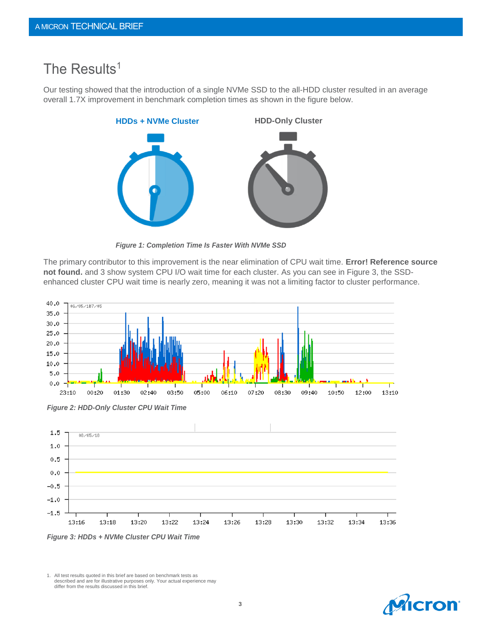### The Results<sup>1</sup>

Our testing showed that the introduction of a single NVMe SSD to the all-HDD cluster resulted in an average overall 1.7X improvement in benchmark completion times as shown in the figure below.



*Figure 1: Completion Time Is Faster With NVMe SSD*

The primary contributor to this improvement is the near elimination of CPU wait time. **Error! Reference source not found.** and 3 show system CPU I/O wait time for each cluster. As you can see in Figure 3, the SSDenhanced cluster CPU wait time is nearly zero, meaning it was not a limiting factor to cluster performance.



*Figure 2: HDD-Only Cluster CPU Wait Time*



1. All test results quoted in this brief are based on benchmark tests as described and are for illustrative purposes only. Your actual experience may differ from the results discussed in this brief.

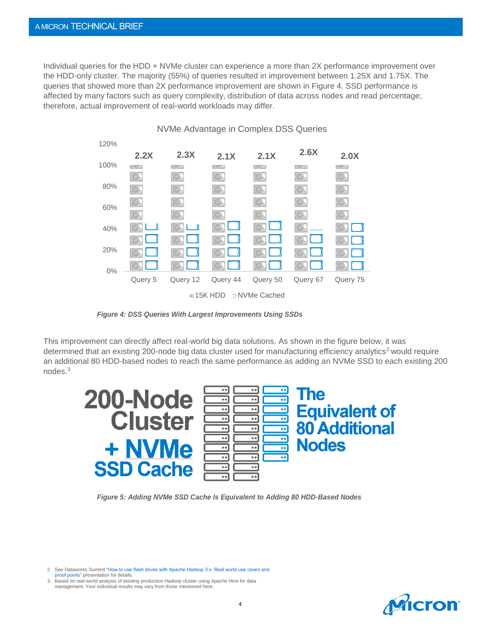Individual queries for the HDD + NVMe cluster can experience a more than 2X performance improvement over the HDD-only cluster. The majority (55%) of queries resulted in improvement between 1.25X and 1.75X. The queries that showed more than 2X performance improvement are shown in Figure 4. SSD performance is affected by many factors such as query complexity, distribution of data across nodes and read percentage; therefore, actual improvement of real-world workloads may differ.



*Figure 4: DSS Queries With Largest Improvements Using SSDs*

This improvement can directly affect real-world big data solutions. As shown in the figure below, it was determined that an existing 200-node big data cluster used for manufacturing efficiency analytics<sup>2</sup> would require an additional 80 HDD-based nodes to reach the same performance as adding an NVMe SSD to each existing 200 nodes. 3



*Figure 5: Adding NVMe SSD Cache Is Equivalent to Adding 80 HDD-Based Nodes*

2. See Dataworks Summi[t "How to use flash drives with Apache Hadoop 3.x: Real world use cases and](https://www.youtube.com/watch?v=A8NmXFltZk8) 

[proof points"](https://www.youtube.com/watch?v=A8NmXFltZk8) presentation for details.

3. Based on real-world analysis of existing production Hadoop cluster using Apache Hive for data management. Your individual results may vary from those mentioned here.